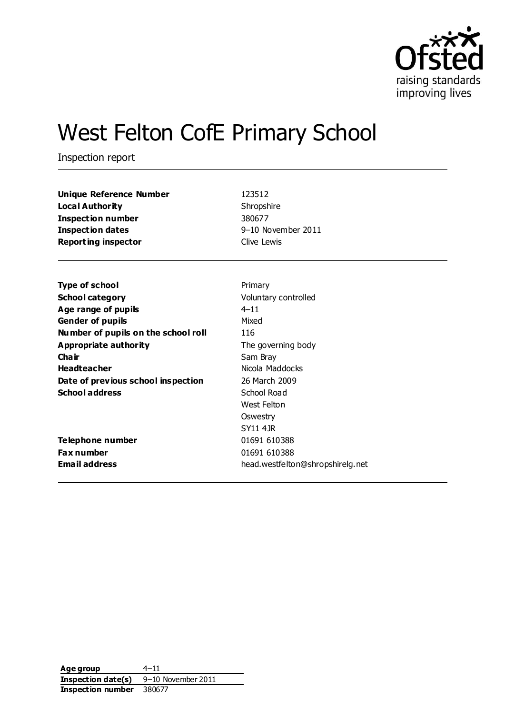

# West Felton CofE Primary School

Inspection report

| Unique Reference Number    | 123512             |
|----------------------------|--------------------|
| Loca l Authority           | Shropshire         |
| Inspection number          | 380677             |
| <b>Inspection dates</b>    | 9-10 November 2011 |
| <b>Reporting inspector</b> | Clive Lewis        |
|                            |                    |

| <b>Type of school</b>               | Primary                          |
|-------------------------------------|----------------------------------|
| <b>School category</b>              | Voluntary controlled             |
| Age range of pupils                 | $4 - 11$                         |
| <b>Gender of pupils</b>             | Mixed                            |
| Number of pupils on the school roll | 116                              |
| Appropriate authority               | The governing body               |
| Cha ir                              | Sam Bray                         |
| <b>Headteacher</b>                  | Nicola Maddocks                  |
| Date of previous school inspection  | 26 March 2009                    |
| <b>School address</b>               | School Road                      |
|                                     | West Felton                      |
|                                     | Oswestry                         |
|                                     | SY11 4 JR                        |
| Telephone number                    | 01691 610388                     |
| <b>Fax number</b>                   | 01691 610388                     |
| Email address                       | head.westfelton@shropshirelg.net |
|                                     |                                  |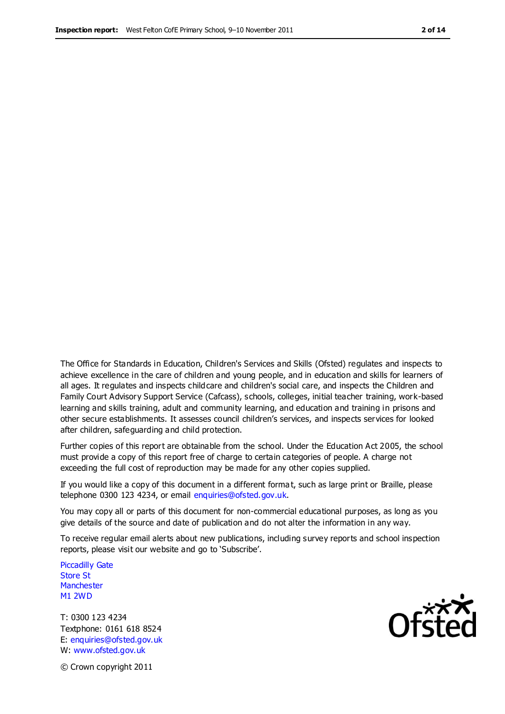The Office for Standards in Education, Children's Services and Skills (Ofsted) regulates and inspects to achieve excellence in the care of children and young people, and in education and skills for learners of all ages. It regulates and inspects childcare and children's social care, and inspects the Children and Family Court Advisory Support Service (Cafcass), schools, colleges, initial teacher training, work-based learning and skills training, adult and community learning, and education and training in prisons and other secure establishments. It assesses council children's services, and inspects services for looked after children, safeguarding and child protection.

Further copies of this report are obtainable from the school. Under the Education Act 2005, the school must provide a copy of this report free of charge to certain categories of people. A charge not exceeding the full cost of reproduction may be made for any other copies supplied.

If you would like a copy of this document in a different forma t, such as large print or Braille, please telephone 0300 123 4234, or email enquiries@ofsted.gov.uk.

You may copy all or parts of this document for non-commercial educational purposes, as long as you give details of the source and date of publication and do not alter the information in any way.

To receive regular email alerts about new publications, including survey reports and school inspection reports, please visit our website and go to 'Subscribe'.

Piccadilly Gate Store St **Manchester** M1 2WD

T: 0300 123 4234 Textphone: 0161 618 8524 E: enquiries@ofsted.gov.uk W: www.ofsted.gov.uk

Ofsted

© Crown copyright 2011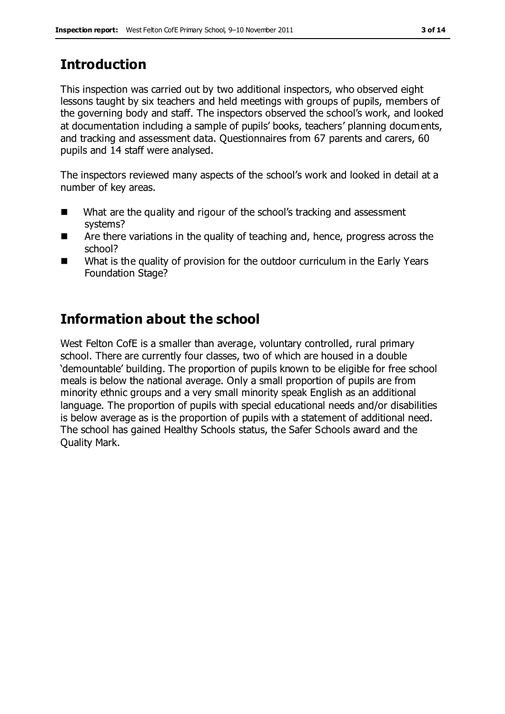# **Introduction**

This inspection was carried out by two additional inspectors, who observed eight lessons taught by six teachers and held meetings with groups of pupils, members of the governing body and staff. The inspectors observed the school's work, and looked at documentation including a sample of pupils' books, teachers' planning documents, and tracking and assessment data. Questionnaires from 67 parents and carers, 60 pupils and 14 staff were analysed.

The inspectors reviewed many aspects of the school's work and looked in detail at a number of key areas.

- What are the quality and rigour of the school's tracking and assessment systems?
- Are there variations in the quality of teaching and, hence, progress across the school?
- What is the quality of provision for the outdoor curriculum in the Early Years Foundation Stage?

# **Information about the school**

West Felton CofE is a smaller than average, voluntary controlled, rural primary school. There are currently four classes, two of which are housed in a double 'demountable' building. The proportion of pupils known to be eligible for free school meals is below the national average. Only a small proportion of pupils are from minority ethnic groups and a very small minority speak English as an additional language. The proportion of pupils with special educational needs and/or disabilities is below average as is the proportion of pupils with a statement of additional need. The school has gained Healthy Schools status, the Safer Schools award and the Quality Mark.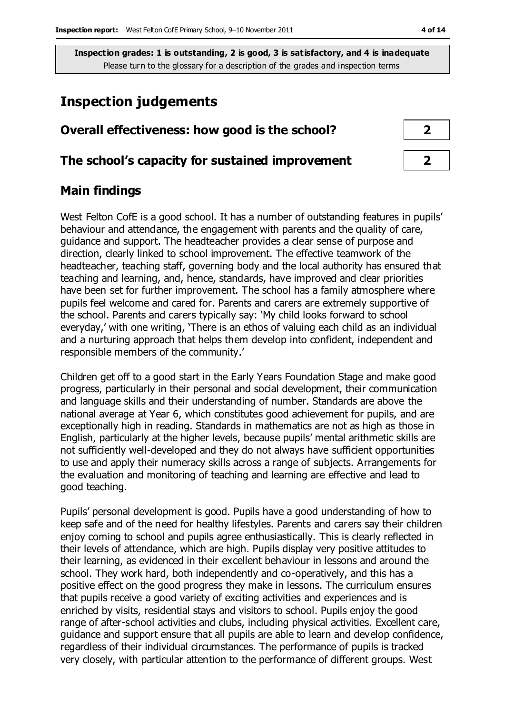### **Inspection judgements**

# **Overall effectiveness: how good is the school? 2 The school's capacity for sustained improvement 2**

### **Main findings**

West Felton CofE is a good school. It has a number of outstanding features in pupils' behaviour and attendance, the engagement with parents and the quality of care, guidance and support. The headteacher provides a clear sense of purpose and direction, clearly linked to school improvement. The effective teamwork of the headteacher, teaching staff, governing body and the local authority has ensured that teaching and learning, and, hence, standards, have improved and clear priorities have been set for further improvement. The school has a family atmosphere where pupils feel welcome and cared for. Parents and carers are extremely supportive of the school. Parents and carers typically say: 'My child looks forward to school everyday,' with one writing, 'There is an ethos of valuing each child as an individual and a nurturing approach that helps them develop into confident, independent and responsible members of the community.'

Children get off to a good start in the Early Years Foundation Stage and make good progress, particularly in their personal and social development, their communication and language skills and their understanding of number. Standards are above the national average at Year 6, which constitutes good achievement for pupils, and are exceptionally high in reading. Standards in mathematics are not as high as those in English, particularly at the higher levels, because pupils' mental arithmetic skills are not sufficiently well-developed and they do not always have sufficient opportunities to use and apply their numeracy skills across a range of subjects. Arrangements for the evaluation and monitoring of teaching and learning are effective and lead to good teaching.

Pupils' personal development is good. Pupils have a good understanding of how to keep safe and of the need for healthy lifestyles. Parents and carers say their children enjoy coming to school and pupils agree enthusiastically. This is clearly reflected in their levels of attendance, which are high. Pupils display very positive attitudes to their learning, as evidenced in their excellent behaviour in lessons and around the school. They work hard, both independently and co-operatively, and this has a positive effect on the good progress they make in lessons. The curriculum ensures that pupils receive a good variety of exciting activities and experiences and is enriched by visits, residential stays and visitors to school. Pupils enjoy the good range of after-school activities and clubs, including physical activities. Excellent care, guidance and support ensure that all pupils are able to learn and develop confidence, regardless of their individual circumstances. The performance of pupils is tracked very closely, with particular attention to the performance of different groups. West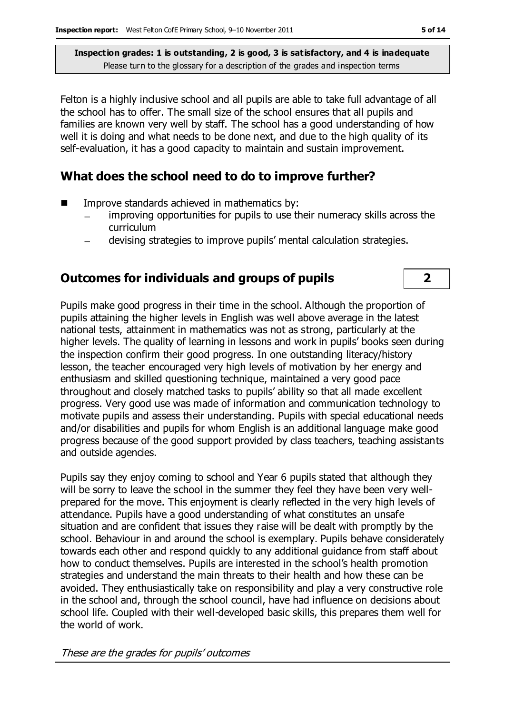Felton is a highly inclusive school and all pupils are able to take full advantage of all the school has to offer. The small size of the school ensures that all pupils and families are known very well by staff. The school has a good understanding of how well it is doing and what needs to be done next, and due to the high quality of its self-evaluation, it has a good capacity to maintain and sustain improvement.

#### **What does the school need to do to improve further?**

- Improve standards achieved in mathematics by:
	- improving opportunities for pupils to use their numeracy skills across the  $\overline{\phantom{0}}$ curriculum
	- devising strategies to improve pupils' mental calculation strategies.

### **Outcomes for individuals and groups of pupils 2**

Pupils make good progress in their time in the school. Although the proportion of pupils attaining the higher levels in English was well above average in the latest national tests, attainment in mathematics was not as strong, particularly at the higher levels. The quality of learning in lessons and work in pupils' books seen during the inspection confirm their good progress. In one outstanding literacy/history lesson, the teacher encouraged very high levels of motivation by her energy and enthusiasm and skilled questioning technique, maintained a very good pace throughout and closely matched tasks to pupils' ability so that all made excellent progress. Very good use was made of information and communication technology to motivate pupils and assess their understanding. Pupils with special educational needs and/or disabilities and pupils for whom English is an additional language make good progress because of the good support provided by class teachers, teaching assistants and outside agencies.

Pupils say they enjoy coming to school and Year 6 pupils stated that although they will be sorry to leave the school in the summer they feel they have been very wellprepared for the move. This enjoyment is clearly reflected in the very high levels of attendance. Pupils have a good understanding of what constitutes an unsafe situation and are confident that issues they raise will be dealt with promptly by the school. Behaviour in and around the school is exemplary. Pupils behave considerately towards each other and respond quickly to any additional guidance from staff about how to conduct themselves. Pupils are interested in the school's health promotion strategies and understand the main threats to their health and how these can be avoided. They enthusiastically take on responsibility and play a very constructive role in the school and, through the school council, have had influence on decisions about school life. Coupled with their well-developed basic skills, this prepares them well for the world of work.

These are the grades for pupils' outcomes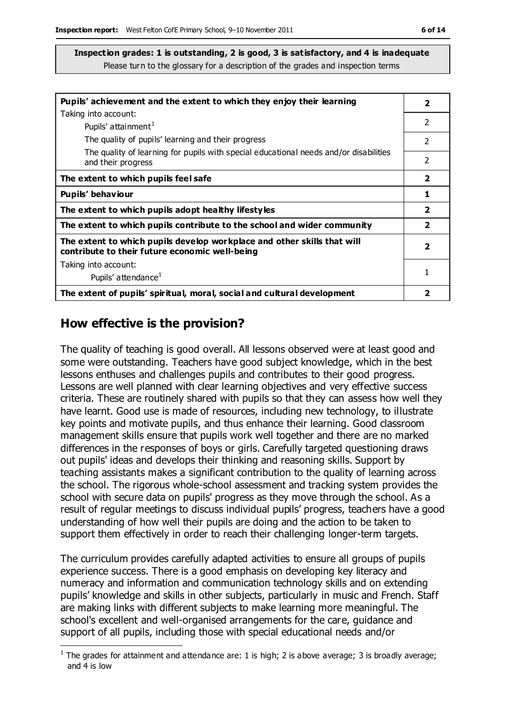| Pupils' achievement and the extent to which they enjoy their learning                                                     | $\overline{\mathbf{2}}$ |
|---------------------------------------------------------------------------------------------------------------------------|-------------------------|
| Taking into account:                                                                                                      | 2                       |
| Pupils' attainment <sup>1</sup>                                                                                           |                         |
| The quality of pupils' learning and their progress                                                                        | 2                       |
| The quality of learning for pupils with special educational needs and/or disabilities                                     |                         |
| and their progress                                                                                                        | 2                       |
| The extent to which pupils feel safe                                                                                      | $\overline{\mathbf{2}}$ |
| Pupils' behaviour                                                                                                         | 1                       |
| The extent to which pupils adopt healthy lifestyles                                                                       | $\overline{2}$          |
| The extent to which pupils contribute to the school and wider community                                                   | $\overline{\mathbf{2}}$ |
| The extent to which pupils develop workplace and other skills that will<br>contribute to their future economic well-being | $\overline{\mathbf{2}}$ |
| Taking into account:                                                                                                      |                         |
| Pupils' attendance <sup>1</sup>                                                                                           |                         |
| The extent of pupils' spiritual, moral, social and cultural development                                                   |                         |

#### **How effective is the provision?**

The quality of teaching is good overall. All lessons observed were at least good and some were outstanding. Teachers have good subject knowledge, which in the best lessons enthuses and challenges pupils and contributes to their good progress. Lessons are well planned with clear learning objectives and very effective success criteria. These are routinely shared with pupils so that they can assess how well they have learnt. Good use is made of resources, including new technology, to illustrate key points and motivate pupils, and thus enhance their learning. Good classroom management skills ensure that pupils work well together and there are no marked differences in the responses of boys or girls. Carefully targeted questioning draws out pupils' ideas and develops their thinking and reasoning skills. Support by teaching assistants makes a significant contribution to the quality of learning across the school. The rigorous whole-school assessment and tracking system provides the school with secure data on pupils' progress as they move through the school. As a result of regular meetings to discuss individual pupils' progress, teachers have a good understanding of how well their pupils are doing and the action to be taken to support them effectively in order to reach their challenging longer-term targets.

The curriculum provides carefully adapted activities to ensure all groups of pupils experience success. There is a good emphasis on developing key literacy and numeracy and information and communication technology skills and on extending pupils' knowledge and skills in other subjects, particularly in music and French. Staff are making links with different subjects to make learning more meaningful. The school's excellent and well-organised arrangements for the care, guidance and support of all pupils, including those with special educational needs and/or

 $\overline{a}$ <sup>1</sup> The grades for attainment and attendance are: 1 is high; 2 is above average; 3 is broadly average; and 4 is low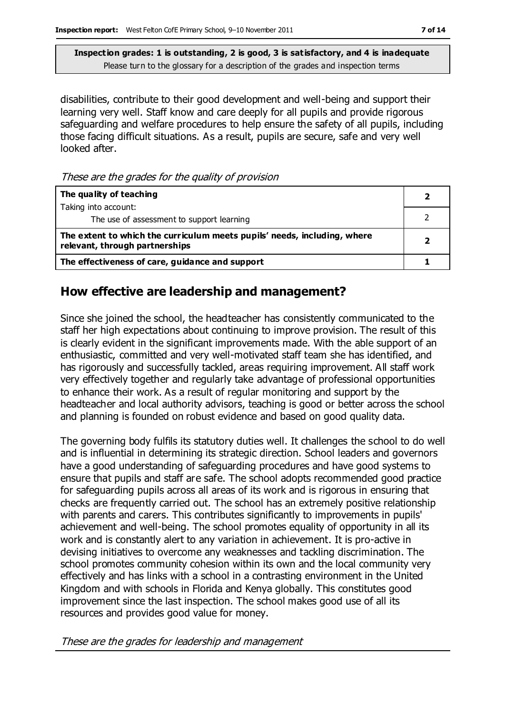disabilities, contribute to their good development and well-being and support their learning very well. Staff know and care deeply for all pupils and provide rigorous safeguarding and welfare procedures to help ensure the safety of all pupils, including those facing difficult situations. As a result, pupils are secure, safe and very well looked after.

These are the grades for the quality of provision

| The quality of teaching                                                                                    |  |
|------------------------------------------------------------------------------------------------------------|--|
| Taking into account:                                                                                       |  |
| The use of assessment to support learning                                                                  |  |
| The extent to which the curriculum meets pupils' needs, including, where<br>relevant, through partnerships |  |
| The effectiveness of care, guidance and support                                                            |  |

#### **How effective are leadership and management?**

Since she joined the school, the headteacher has consistently communicated to the staff her high expectations about continuing to improve provision. The result of this is clearly evident in the significant improvements made. With the able support of an enthusiastic, committed and very well-motivated staff team she has identified, and has rigorously and successfully tackled, areas requiring improvement. All staff work very effectively together and regularly take advantage of professional opportunities to enhance their work. As a result of regular monitoring and support by the headteacher and local authority advisors, teaching is good or better across the school and planning is founded on robust evidence and based on good quality data.

The governing body fulfils its statutory duties well. It challenges the school to do well and is influential in determining its strategic direction. School leaders and governors have a good understanding of safeguarding procedures and have good systems to ensure that pupils and staff are safe. The school adopts recommended good practice for safeguarding pupils across all areas of its work and is rigorous in ensuring that checks are frequently carried out. The school has an extremely positive relationship with parents and carers. This contributes significantly to improvements in pupils' achievement and well-being. The school promotes equality of opportunity in all its work and is constantly alert to any variation in achievement. It is pro-active in devising initiatives to overcome any weaknesses and tackling discrimination. The school promotes community cohesion within its own and the local community very effectively and has links with a school in a contrasting environment in the United Kingdom and with schools in Florida and Kenya globally. This constitutes good improvement since the last inspection. The school makes good use of all its resources and provides good value for money.

These are the grades for leadership and management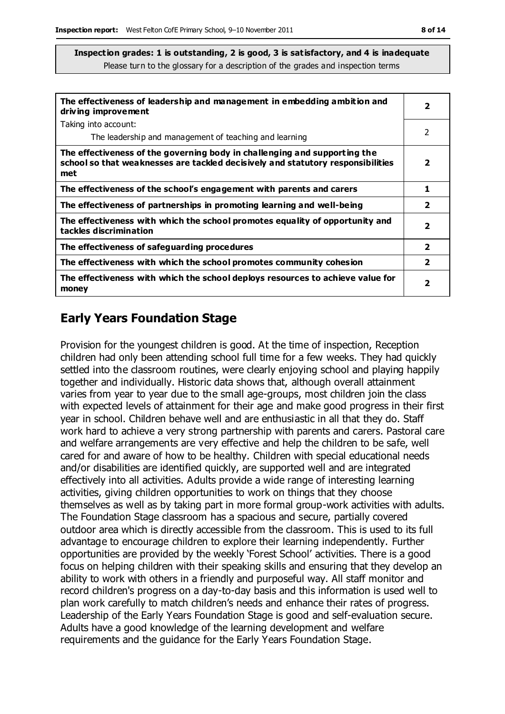| The effectiveness of leadership and management in embedding ambition and<br>driving improvement                                                                     | $\overline{\mathbf{2}}$  |
|---------------------------------------------------------------------------------------------------------------------------------------------------------------------|--------------------------|
| Taking into account:                                                                                                                                                |                          |
| The leadership and management of teaching and learning                                                                                                              | 2                        |
| The effectiveness of the governing body in challenging and supporting the<br>school so that weaknesses are tackled decisively and statutory responsibilities<br>met | 2                        |
| The effectiveness of the school's engagement with parents and carers                                                                                                | 1                        |
| The effectiveness of partnerships in promoting learning and well-being                                                                                              | 2                        |
| The effectiveness with which the school promotes equality of opportunity and<br>tackles discrimination                                                              | 2                        |
| The effectiveness of safeguarding procedures                                                                                                                        | $\overline{\phantom{a}}$ |
| The effectiveness with which the school promotes community cohesion                                                                                                 | $\overline{2}$           |
| The effectiveness with which the school deploys resources to achieve value for<br>money                                                                             | 2                        |

## **Early Years Foundation Stage**

Provision for the youngest children is good. At the time of inspection, Reception children had only been attending school full time for a few weeks. They had quickly settled into the classroom routines, were clearly enjoying school and playing happily together and individually. Historic data shows that, although overall attainment varies from year to year due to the small age-groups, most children join the class with expected levels of attainment for their age and make good progress in their first year in school. Children behave well and are enthusiastic in all that they do. Staff work hard to achieve a very strong partnership with parents and carers. Pastoral care and welfare arrangements are very effective and help the children to be safe, well cared for and aware of how to be healthy. Children with special educational needs and/or disabilities are identified quickly, are supported well and are integrated effectively into all activities. Adults provide a wide range of interesting learning activities, giving children opportunities to work on things that they choose themselves as well as by taking part in more formal group-work activities with adults. The Foundation Stage classroom has a spacious and secure, partially covered outdoor area which is directly accessible from the classroom. This is used to its full advantage to encourage children to explore their learning independently. Further opportunities are provided by the weekly 'Forest School' activities. There is a good focus on helping children with their speaking skills and ensuring that they develop an ability to work with others in a friendly and purposeful way. All staff monitor and record children's progress on a day-to-day basis and this information is used well to plan work carefully to match children's needs and enhance their rates of progress. Leadership of the Early Years Foundation Stage is good and self-evaluation secure. Adults have a good knowledge of the learning development and welfare requirements and the guidance for the Early Years Foundation Stage.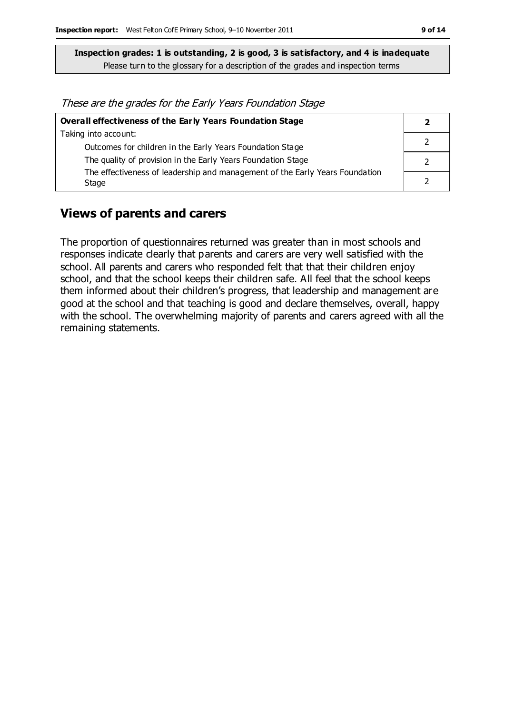These are the grades for the Early Years Foundation Stage

| Overall effectiveness of the Early Years Foundation Stage                    |  |
|------------------------------------------------------------------------------|--|
| Taking into account:                                                         |  |
| Outcomes for children in the Early Years Foundation Stage                    |  |
| The quality of provision in the Early Years Foundation Stage                 |  |
| The effectiveness of leadership and management of the Early Years Foundation |  |
| Stage                                                                        |  |

#### **Views of parents and carers**

The proportion of questionnaires returned was greater than in most schools and responses indicate clearly that parents and carers are very well satisfied with the school. All parents and carers who responded felt that that their children enjoy school, and that the school keeps their children safe. All feel that the school keeps them informed about their children's progress, that leadership and management are good at the school and that teaching is good and declare themselves, overall, happy with the school. The overwhelming majority of parents and carers agreed with all the remaining statements.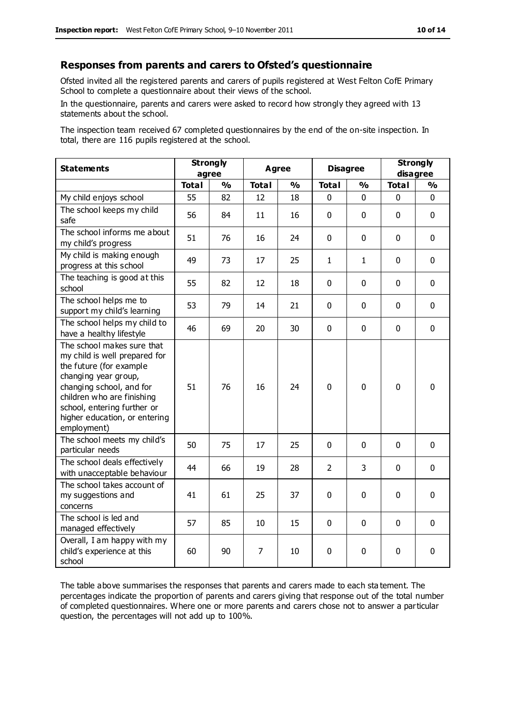#### **Responses from parents and carers to Ofsted's questionnaire**

Ofsted invited all the registered parents and carers of pupils registered at West Felton CofE Primary School to complete a questionnaire about their views of the school.

In the questionnaire, parents and carers were asked to record how strongly they agreed with 13 statements about the school.

The inspection team received 67 completed questionnaires by the end of the on-site inspection. In total, there are 116 pupils registered at the school.

| <b>Statements</b>                                                                                                                                                                                                                                       | <b>Strongly</b><br>agree |               | <b>Agree</b> |               | <b>Disagree</b> |               | <b>Strongly</b><br>disagree |               |
|---------------------------------------------------------------------------------------------------------------------------------------------------------------------------------------------------------------------------------------------------------|--------------------------|---------------|--------------|---------------|-----------------|---------------|-----------------------------|---------------|
|                                                                                                                                                                                                                                                         | <b>Total</b>             | $\frac{0}{0}$ | <b>Total</b> | $\frac{0}{0}$ | <b>Total</b>    | $\frac{0}{0}$ | <b>Total</b>                | $\frac{1}{2}$ |
| My child enjoys school                                                                                                                                                                                                                                  | 55                       | 82            | 12           | 18            | 0               | 0             | 0                           | $\Omega$      |
| The school keeps my child<br>safe                                                                                                                                                                                                                       | 56                       | 84            | 11           | 16            | $\mathbf 0$     | $\mathbf 0$   | $\mathbf{0}$                | $\mathbf 0$   |
| The school informs me about<br>my child's progress                                                                                                                                                                                                      | 51                       | 76            | 16           | 24            | $\mathbf 0$     | $\mathbf 0$   | $\mathbf 0$                 | $\mathbf 0$   |
| My child is making enough<br>progress at this school                                                                                                                                                                                                    | 49                       | 73            | 17           | 25            | $\mathbf{1}$    | 1             | $\mathbf 0$                 | $\mathbf 0$   |
| The teaching is good at this<br>school                                                                                                                                                                                                                  | 55                       | 82            | 12           | 18            | 0               | $\mathbf 0$   | $\mathbf 0$                 | $\mathbf 0$   |
| The school helps me to<br>support my child's learning                                                                                                                                                                                                   | 53                       | 79            | 14           | 21            | 0               | $\mathbf 0$   | $\mathbf 0$                 | $\mathbf 0$   |
| The school helps my child to<br>have a healthy lifestyle                                                                                                                                                                                                | 46                       | 69            | 20           | 30            | 0               | $\mathbf 0$   | $\mathbf 0$                 | $\mathbf 0$   |
| The school makes sure that<br>my child is well prepared for<br>the future (for example<br>changing year group,<br>changing school, and for<br>children who are finishing<br>school, entering further or<br>higher education, or entering<br>employment) | 51                       | 76            | 16           | 24            | 0               | $\mathbf 0$   | $\mathbf 0$                 | $\mathbf 0$   |
| The school meets my child's<br>particular needs                                                                                                                                                                                                         | 50                       | 75            | 17           | 25            | $\mathbf 0$     | $\mathbf{0}$  | $\mathbf 0$                 | $\mathbf 0$   |
| The school deals effectively<br>with unacceptable behaviour                                                                                                                                                                                             | 44                       | 66            | 19           | 28            | $\overline{2}$  | 3             | $\mathbf 0$                 | $\mathbf 0$   |
| The school takes account of<br>my suggestions and<br>concerns                                                                                                                                                                                           | 41                       | 61            | 25           | 37            | 0               | $\mathbf 0$   | $\mathbf 0$                 | $\mathbf 0$   |
| The school is led and<br>managed effectively                                                                                                                                                                                                            | 57                       | 85            | 10           | 15            | $\pmb{0}$       | $\mathbf 0$   | $\mathbf 0$                 | $\mathbf 0$   |
| Overall, I am happy with my<br>child's experience at this<br>school                                                                                                                                                                                     | 60                       | 90            | 7            | 10            | 0               | $\mathbf 0$   | $\mathbf 0$                 | 0             |

The table above summarises the responses that parents and carers made to each sta tement. The percentages indicate the proportion of parents and carers giving that response out of the total number of completed questionnaires. Where one or more parents and carers chose not to answer a particular question, the percentages will not add up to 100%.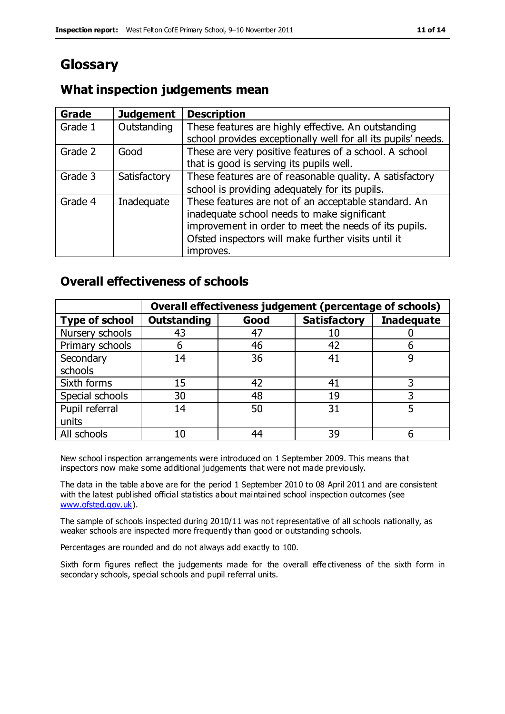# **Glossary**

#### **What inspection judgements mean**

| <b>Grade</b> | <b>Judgement</b> | <b>Description</b>                                                                                                   |
|--------------|------------------|----------------------------------------------------------------------------------------------------------------------|
| Grade 1      | Outstanding      | These features are highly effective. An outstanding<br>school provides exceptionally well for all its pupils' needs. |
|              |                  |                                                                                                                      |
| Grade 2      | Good             | These are very positive features of a school. A school                                                               |
|              |                  | that is good is serving its pupils well.                                                                             |
| Grade 3      | Satisfactory     | These features are of reasonable quality. A satisfactory                                                             |
|              |                  | school is providing adequately for its pupils.                                                                       |
| Grade 4      | Inadequate       | These features are not of an acceptable standard. An                                                                 |
|              |                  | inadequate school needs to make significant                                                                          |
|              |                  | improvement in order to meet the needs of its pupils.                                                                |
|              |                  | Ofsted inspectors will make further visits until it                                                                  |
|              |                  | improves.                                                                                                            |

#### **Overall effectiveness of schools**

|                       |                    |      | Overall effectiveness judgement (percentage of schools) |                   |
|-----------------------|--------------------|------|---------------------------------------------------------|-------------------|
| <b>Type of school</b> | <b>Outstanding</b> | Good | <b>Satisfactory</b>                                     | <b>Inadequate</b> |
| Nursery schools       | 43                 | 47   | 10                                                      |                   |
| Primary schools       | 6                  | 46   | 42                                                      |                   |
| Secondary             | 14                 | 36   | 41                                                      |                   |
| schools               |                    |      |                                                         |                   |
| Sixth forms           | 15                 | 42   | 41                                                      | 3                 |
| Special schools       | 30                 | 48   | 19                                                      |                   |
| Pupil referral        | 14                 | 50   | 31                                                      |                   |
| units                 |                    |      |                                                         |                   |
| All schools           | 10                 | 44   | 39                                                      |                   |

New school inspection arrangements were introduced on 1 September 2009. This means that inspectors now make some additional judgements that were not made previously.

The data in the table above are for the period 1 September 2010 to 08 April 2011 and are consistent with the latest published official statistics about maintained school inspection outcomes (see [www.ofsted.gov.uk\)](http://www.ofsted.gov.uk/).

The sample of schools inspected during 2010/11 was not representative of all schools nationally, as weaker schools are inspected more frequently than good or outstanding schools.

Percentages are rounded and do not always add exactly to 100.

Sixth form figures reflect the judgements made for the overall effectiveness of the sixth form in secondary schools, special schools and pupil referral units.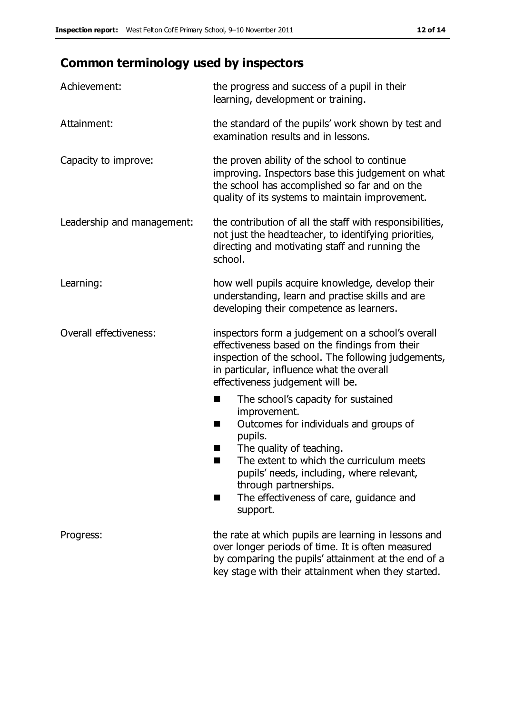# **Common terminology used by inspectors**

| Achievement:                  | the progress and success of a pupil in their<br>learning, development or training.                                                                                                                                                                                                                                           |
|-------------------------------|------------------------------------------------------------------------------------------------------------------------------------------------------------------------------------------------------------------------------------------------------------------------------------------------------------------------------|
| Attainment:                   | the standard of the pupils' work shown by test and<br>examination results and in lessons.                                                                                                                                                                                                                                    |
| Capacity to improve:          | the proven ability of the school to continue<br>improving. Inspectors base this judgement on what<br>the school has accomplished so far and on the<br>quality of its systems to maintain improvement.                                                                                                                        |
| Leadership and management:    | the contribution of all the staff with responsibilities,<br>not just the headteacher, to identifying priorities,<br>directing and motivating staff and running the<br>school.                                                                                                                                                |
| Learning:                     | how well pupils acquire knowledge, develop their<br>understanding, learn and practise skills and are<br>developing their competence as learners.                                                                                                                                                                             |
| <b>Overall effectiveness:</b> | inspectors form a judgement on a school's overall<br>effectiveness based on the findings from their<br>inspection of the school. The following judgements,<br>in particular, influence what the overall<br>effectiveness judgement will be.                                                                                  |
|                               | The school's capacity for sustained<br>×<br>improvement.<br>Outcomes for individuals and groups of<br>п<br>pupils.<br>The quality of teaching.<br>The extent to which the curriculum meets<br>pupils' needs, including, where relevant,<br>through partnerships.<br>The effectiveness of care, guidance and<br>■<br>support. |
| Progress:                     | the rate at which pupils are learning in lessons and<br>over longer periods of time. It is often measured<br>by comparing the pupils' attainment at the end of a<br>key stage with their attainment when they started.                                                                                                       |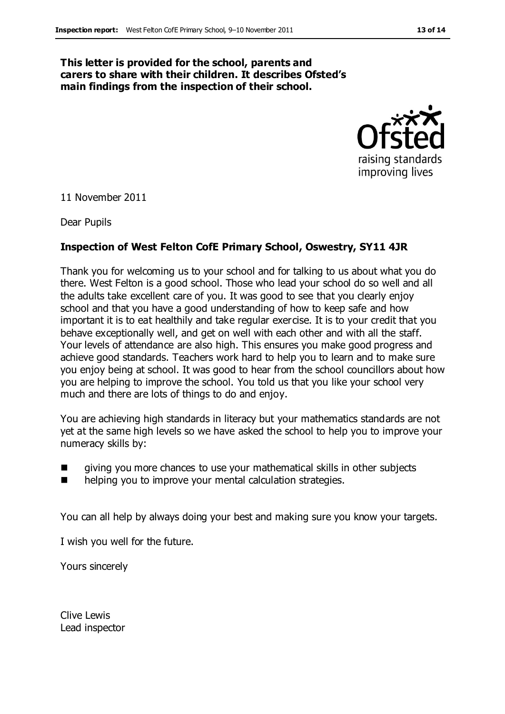#### **This letter is provided for the school, parents and carers to share with their children. It describes Ofsted's main findings from the inspection of their school.**



11 November 2011

Dear Pupils

#### **Inspection of West Felton CofE Primary School, Oswestry, SY11 4JR**

Thank you for welcoming us to your school and for talking to us about what you do there. West Felton is a good school. Those who lead your school do so well and all the adults take excellent care of you. It was good to see that you clearly enjoy school and that you have a good understanding of how to keep safe and how important it is to eat healthily and take regular exercise. It is to your credit that you behave exceptionally well, and get on well with each other and with all the staff. Your levels of attendance are also high. This ensures you make good progress and achieve good standards. Teachers work hard to help you to learn and to make sure you enjoy being at school. It was good to hear from the school councillors about how you are helping to improve the school. You told us that you like your school very much and there are lots of things to do and enjoy.

You are achieving high standards in literacy but your mathematics standards are not yet at the same high levels so we have asked the school to help you to improve your numeracy skills by:

- giving you more chances to use your mathematical skills in other subjects
- **number 1** helping you to improve your mental calculation strategies.

You can all help by always doing your best and making sure you know your targets.

I wish you well for the future.

Yours sincerely

Clive Lewis Lead inspector